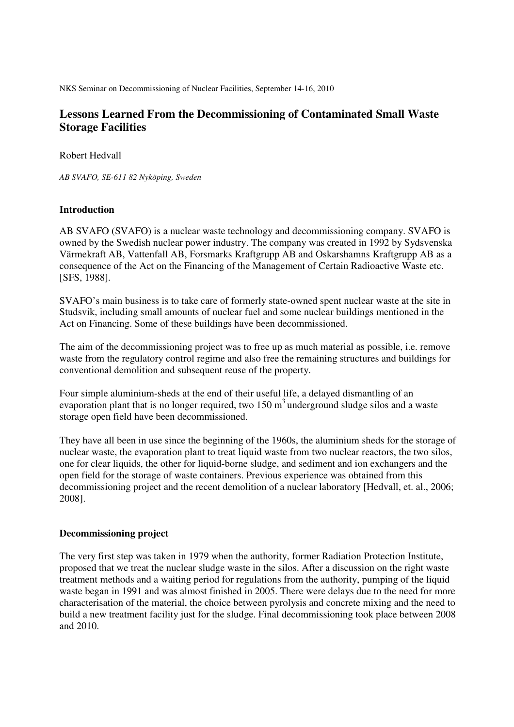NKS Seminar on Decommissioning of Nuclear Facilities, September 14-16, 2010

# **Lessons Learned From the Decommissioning of Contaminated Small Waste Storage Facilities**

Robert Hedvall

*AB SVAFO, SE-611 82 Nyköping, Sweden* 

## **Introduction**

AB SVAFO (SVAFO) is a nuclear waste technology and decommissioning company. SVAFO is owned by the Swedish nuclear power industry. The company was created in 1992 by Sydsvenska Värmekraft AB, Vattenfall AB, Forsmarks Kraftgrupp AB and Oskarshamns Kraftgrupp AB as a consequence of the Act on the Financing of the Management of Certain Radioactive Waste etc. [SFS, 1988].

SVAFO's main business is to take care of formerly state-owned spent nuclear waste at the site in Studsvik, including small amounts of nuclear fuel and some nuclear buildings mentioned in the Act on Financing. Some of these buildings have been decommissioned.

The aim of the decommissioning project was to free up as much material as possible, i.e. remove waste from the regulatory control regime and also free the remaining structures and buildings for conventional demolition and subsequent reuse of the property.

Four simple aluminium-sheds at the end of their useful life, a delayed dismantling of an evaporation plant that is no longer required, two  $150 \text{ m}^3$  underground sludge silos and a waste storage open field have been decommissioned.

They have all been in use since the beginning of the 1960s, the aluminium sheds for the storage of nuclear waste, the evaporation plant to treat liquid waste from two nuclear reactors, the two silos, one for clear liquids, the other for liquid-borne sludge, and sediment and ion exchangers and the open field for the storage of waste containers. Previous experience was obtained from this decommissioning project and the recent demolition of a nuclear laboratory [Hedvall, et. al., 2006; 2008].

### **Decommissioning project**

The very first step was taken in 1979 when the authority, former Radiation Protection Institute, proposed that we treat the nuclear sludge waste in the silos. After a discussion on the right waste treatment methods and a waiting period for regulations from the authority, pumping of the liquid waste began in 1991 and was almost finished in 2005. There were delays due to the need for more characterisation of the material, the choice between pyrolysis and concrete mixing and the need to build a new treatment facility just for the sludge. Final decommissioning took place between 2008 and 2010.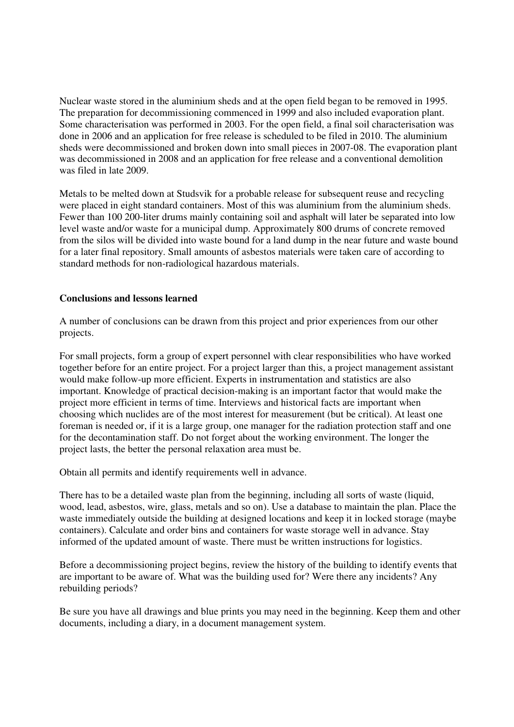Nuclear waste stored in the aluminium sheds and at the open field began to be removed in 1995. The preparation for decommissioning commenced in 1999 and also included evaporation plant. Some characterisation was performed in 2003. For the open field, a final soil characterisation was done in 2006 and an application for free release is scheduled to be filed in 2010. The aluminium sheds were decommissioned and broken down into small pieces in 2007-08. The evaporation plant was decommissioned in 2008 and an application for free release and a conventional demolition was filed in late 2009.

Metals to be melted down at Studsvik for a probable release for subsequent reuse and recycling were placed in eight standard containers. Most of this was aluminium from the aluminium sheds. Fewer than 100 200-liter drums mainly containing soil and asphalt will later be separated into low level waste and/or waste for a municipal dump. Approximately 800 drums of concrete removed from the silos will be divided into waste bound for a land dump in the near future and waste bound for a later final repository. Small amounts of asbestos materials were taken care of according to standard methods for non-radiological hazardous materials.

### **Conclusions and lessons learned**

A number of conclusions can be drawn from this project and prior experiences from our other projects.

For small projects, form a group of expert personnel with clear responsibilities who have worked together before for an entire project. For a project larger than this, a project management assistant would make follow-up more efficient. Experts in instrumentation and statistics are also important. Knowledge of practical decision-making is an important factor that would make the project more efficient in terms of time. Interviews and historical facts are important when choosing which nuclides are of the most interest for measurement (but be critical). At least one foreman is needed or, if it is a large group, one manager for the radiation protection staff and one for the decontamination staff. Do not forget about the working environment. The longer the project lasts, the better the personal relaxation area must be.

Obtain all permits and identify requirements well in advance.

There has to be a detailed waste plan from the beginning, including all sorts of waste (liquid, wood, lead, asbestos, wire, glass, metals and so on). Use a database to maintain the plan. Place the waste immediately outside the building at designed locations and keep it in locked storage (maybe containers). Calculate and order bins and containers for waste storage well in advance. Stay informed of the updated amount of waste. There must be written instructions for logistics.

Before a decommissioning project begins, review the history of the building to identify events that are important to be aware of. What was the building used for? Were there any incidents? Any rebuilding periods?

Be sure you have all drawings and blue prints you may need in the beginning. Keep them and other documents, including a diary, in a document management system.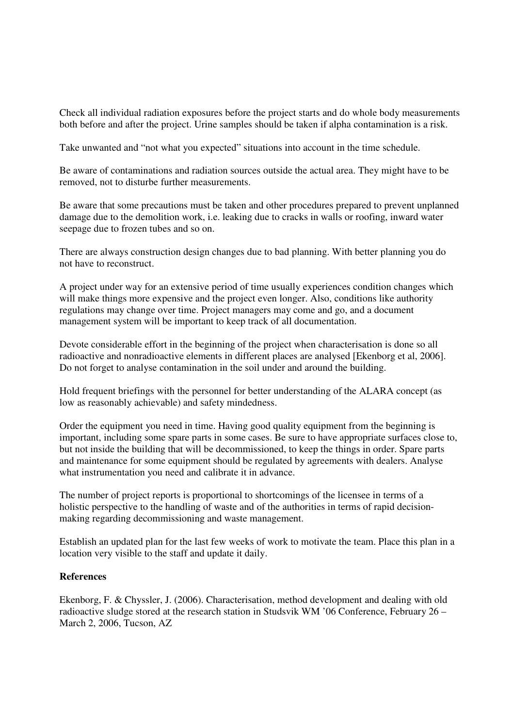Check all individual radiation exposures before the project starts and do whole body measurements both before and after the project. Urine samples should be taken if alpha contamination is a risk.

Take unwanted and "not what you expected" situations into account in the time schedule.

Be aware of contaminations and radiation sources outside the actual area. They might have to be removed, not to disturbe further measurements.

Be aware that some precautions must be taken and other procedures prepared to prevent unplanned damage due to the demolition work, i.e. leaking due to cracks in walls or roofing, inward water seepage due to frozen tubes and so on.

There are always construction design changes due to bad planning. With better planning you do not have to reconstruct.

A project under way for an extensive period of time usually experiences condition changes which will make things more expensive and the project even longer. Also, conditions like authority regulations may change over time. Project managers may come and go, and a document management system will be important to keep track of all documentation.

Devote considerable effort in the beginning of the project when characterisation is done so all radioactive and nonradioactive elements in different places are analysed [Ekenborg et al, 2006]. Do not forget to analyse contamination in the soil under and around the building.

Hold frequent briefings with the personnel for better understanding of the ALARA concept (as low as reasonably achievable) and safety mindedness.

Order the equipment you need in time. Having good quality equipment from the beginning is important, including some spare parts in some cases. Be sure to have appropriate surfaces close to, but not inside the building that will be decommissioned, to keep the things in order. Spare parts and maintenance for some equipment should be regulated by agreements with dealers. Analyse what instrumentation you need and calibrate it in advance.

The number of project reports is proportional to shortcomings of the licensee in terms of a holistic perspective to the handling of waste and of the authorities in terms of rapid decisionmaking regarding decommissioning and waste management.

Establish an updated plan for the last few weeks of work to motivate the team. Place this plan in a location very visible to the staff and update it daily.

#### **References**

Ekenborg, F. & Chyssler, J. (2006). Characterisation, method development and dealing with old radioactive sludge stored at the research station in Studsvik WM '06 Conference, February 26 – March 2, 2006, Tucson, AZ